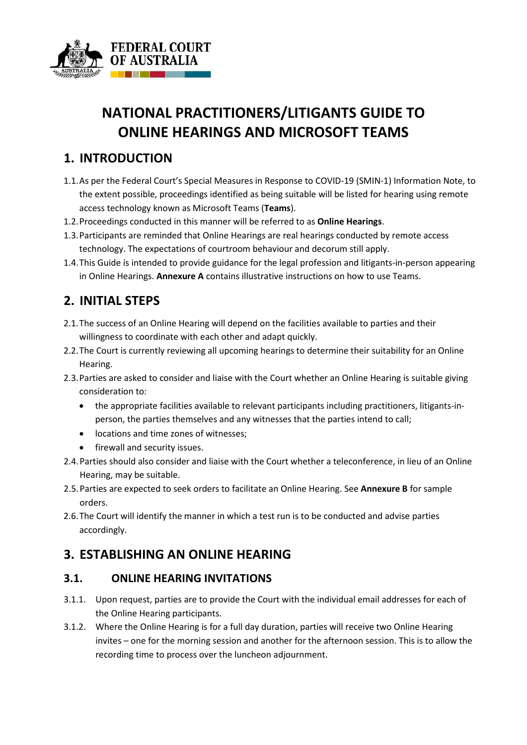

# **NATIONAL PRACTITIONERS/LITIGANTS GUIDE TO ONLINE HEARINGS AND MICROSOFT TEAMS**

### **1. INTRODUCTION**

- 1.1.As per the Federal Court's Special Measures in Response to COVID-19 (SMIN-1) Information Note, to the extent possible, proceedings identified as being suitable will be listed for hearing using remote access technology known as Microsoft Teams (**Teams**).
- 1.2.Proceedings conducted in this manner will be referred to as **Online Hearings**.
- 1.3.Participants are reminded that Online Hearings are real hearings conducted by remote access technology. The expectations of courtroom behaviour and decorum still apply.
- 1.4.This Guide is intended to provide guidance for the legal profession and litigants-in-person appearing in Online Hearings. **Annexure A** contains illustrative instructions on how to use Teams.

## **2. INITIAL STEPS**

- 2.1.The success of an Online Hearing will depend on the facilities available to parties and their willingness to coordinate with each other and adapt quickly.
- 2.2.The Court is currently reviewing all upcoming hearings to determine their suitability for an Online Hearing.
- 2.3.Parties are asked to consider and liaise with the Court whether an Online Hearing is suitable giving consideration to:
	- the appropriate facilities available to relevant participants including practitioners, litigants-inperson, the parties themselves and any witnesses that the parties intend to call;
	- locations and time zones of witnesses;
	- firewall and security issues.
- 2.4.Parties should also consider and liaise with the Court whether a teleconference, in lieu of an Online Hearing, may be suitable.
- 2.5.Parties are expected to seek orders to facilitate an Online Hearing. See **Annexure B** for sample orders.
- 2.6.The Court will identify the manner in which a test run is to be conducted and advise parties accordingly.

### **3. ESTABLISHING AN ONLINE HEARING**

#### **3.1. ONLINE HEARING INVITATIONS**

- 3.1.1. Upon request, parties are to provide the Court with the individual email addresses for each of the Online Hearing participants.
- 3.1.2. Where the Online Hearing is for a full day duration, parties will receive two Online Hearing invites – one for the morning session and another for the afternoon session. This is to allow the recording time to process over the luncheon adjournment.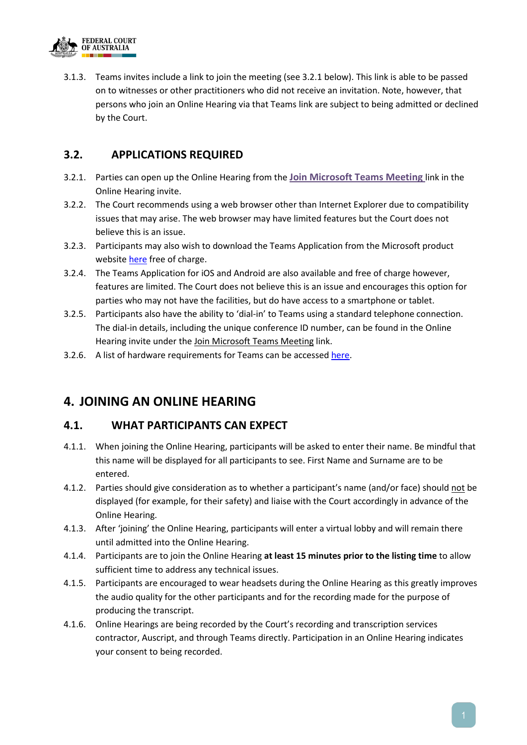

3.1.3. Teams invites include a link to join the meeting (see 3.2.1 below). This link is able to be passed on to witnesses or other practitioners who did not receive an invitation. Note, however, that persons who join an Online Hearing via that Teams link are subject to being admitted or declined by the Court.

#### **3.2. APPLICATIONS REQUIRED**

- 3.2.1. Parties can open up the Online Hearing from the **Join Microsoft Teams Meeting** link in the Online Hearing invite.
- 3.2.2. The Court recommends using a web browser other than Internet Explorer due to compatibility issues that may arise. The web browser may have limited features but the Court does not believe this is an issue.
- 3.2.3. Participants may also wish to download the Teams Application from the Microsoft product websit[e here](https://products.office.com/en-au/microsoft-teams/download-app) free of charge.
- 3.2.4. The Teams Application for iOS and Android are also available and free of charge however, features are limited. The Court does not believe this is an issue and encourages this option for parties who may not have the facilities, but do have access to a smartphone or tablet.
- 3.2.5. Participants also have the ability to 'dial-in' to Teams using a standard telephone connection. The dial-in details, including the unique conference ID number, can be found in the Online Hearing invite under the Join Microsoft Teams Meeting link.
- 3.2.6. A list of hardware requirements for Teams can be accessed [here.](https://docs.microsoft.com/en-us/microsoftteams/hardware-requirements-for-the-teams-app)

### **4. JOINING AN ONLINE HEARING**

#### **4.1. WHAT PARTICIPANTS CAN EXPECT**

- 4.1.1. When joining the Online Hearing, participants will be asked to enter their name. Be mindful that this name will be displayed for all participants to see. First Name and Surname are to be entered.
- 4.1.2. Parties should give consideration as to whether a participant's name (and/or face) should not be displayed (for example, for their safety) and liaise with the Court accordingly in advance of the Online Hearing.
- 4.1.3. After 'joining' the Online Hearing, participants will enter a virtual lobby and will remain there until admitted into the Online Hearing.
- 4.1.4. Participants are to join the Online Hearing **at least 15 minutes prior to the listing time** to allow sufficient time to address any technical issues.
- 4.1.5. Participants are encouraged to wear headsets during the Online Hearing as this greatly improves the audio quality for the other participants and for the recording made for the purpose of producing the transcript.
- 4.1.6. Online Hearings are being recorded by the Court's recording and transcription services contractor, Auscript, and through Teams directly. Participation in an Online Hearing indicates your consent to being recorded.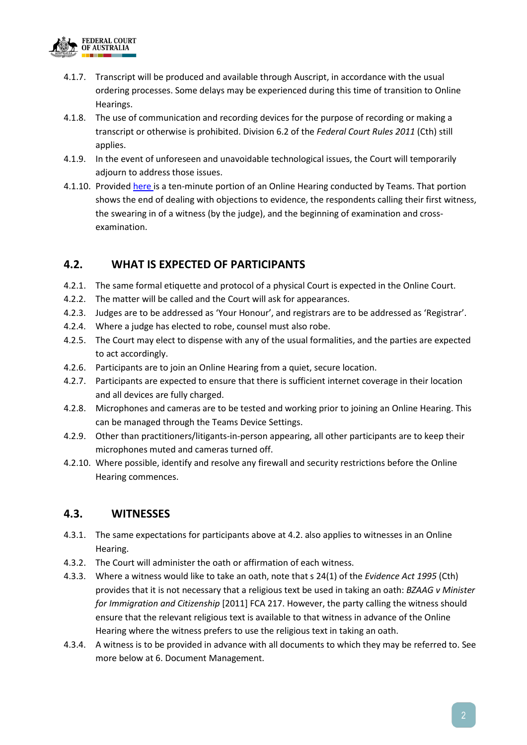

- 4.1.7. Transcript will be produced and available through Auscript, in accordance with the usual ordering processes. Some delays may be experienced during this time of transition to Online Hearings.
- 4.1.8. The use of communication and recording devices for the purpose of recording or making a transcript or otherwise is prohibited. Division 6.2 of the *Federal Court Rules 2011* (Cth) still applies.
- 4.1.9. In the event of unforeseen and unavoidable technological issues, the Court will temporarily adjourn to address those issues.
- 4.1.10. Provided [here](https://www.dropbox.com/sh/ikaci3f76v74ha1/AAChsnd5G68uO5F3wRIOmxtea?dl=0) is a ten-minute portion of an Online Hearing conducted by Teams. That portion shows the end of dealing with objections to evidence, the respondents calling their first witness, the swearing in of a witness (by the judge), and the beginning of examination and crossexamination.

#### **4.2. WHAT IS EXPECTED OF PARTICIPANTS**

- 4.2.1. The same formal etiquette and protocol of a physical Court is expected in the Online Court.
- 4.2.2. The matter will be called and the Court will ask for appearances.
- 4.2.3. Judges are to be addressed as 'Your Honour', and registrars are to be addressed as 'Registrar'.
- 4.2.4. Where a judge has elected to robe, counsel must also robe.
- 4.2.5. The Court may elect to dispense with any of the usual formalities, and the parties are expected to act accordingly.
- 4.2.6. Participants are to join an Online Hearing from a quiet, secure location.
- 4.2.7. Participants are expected to ensure that there is sufficient internet coverage in their location and all devices are fully charged.
- 4.2.8. Microphones and cameras are to be tested and working prior to joining an Online Hearing. This can be managed through the Teams Device Settings.
- 4.2.9. Other than practitioners/litigants-in-person appearing, all other participants are to keep their microphones muted and cameras turned off.
- 4.2.10. Where possible, identify and resolve any firewall and security restrictions before the Online Hearing commences.

#### **4.3. WITNESSES**

- 4.3.1. The same expectations for participants above at 4.2. also applies to witnesses in an Online Hearing.
- 4.3.2. The Court will administer the oath or affirmation of each witness.
- 4.3.3. Where a witness would like to take an oath, note that s 24(1) of the *Evidence Act 1995* (Cth) provides that it is not necessary that a religious text be used in taking an oath: *BZAAG v Minister for Immigration and Citizenship* [2011] FCA 217. However, the party calling the witness should ensure that the relevant religious text is available to that witness in advance of the Online Hearing where the witness prefers to use the religious text in taking an oath.
- 4.3.4. A witness is to be provided in advance with all documents to which they may be referred to. See more below at 6. Document Management.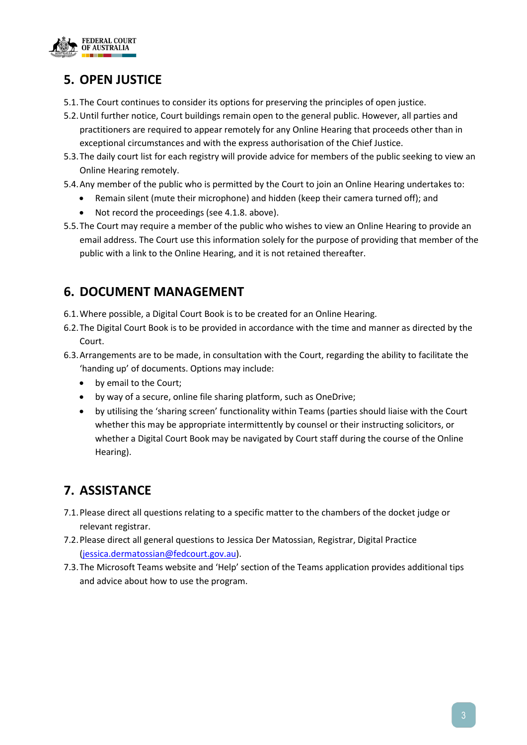

### **5. OPEN JUSTICE**

- 5.1.The Court continues to consider its options for preserving the principles of open justice.
- 5.2.Until further notice, Court buildings remain open to the general public. However, all parties and practitioners are required to appear remotely for any Online Hearing that proceeds other than in exceptional circumstances and with the express authorisation of the Chief Justice.
- 5.3.The daily court list for each registry will provide advice for members of the public seeking to view an Online Hearing remotely.
- 5.4.Any member of the public who is permitted by the Court to join an Online Hearing undertakes to:
	- Remain silent (mute their microphone) and hidden (keep their camera turned off); and
	- Not record the proceedings (see 4.1.8. above).
- 5.5.The Court may require a member of the public who wishes to view an Online Hearing to provide an email address. The Court use this information solely for the purpose of providing that member of the public with a link to the Online Hearing, and it is not retained thereafter.

### **6. DOCUMENT MANAGEMENT**

- 6.1.Where possible, a Digital Court Book is to be created for an Online Hearing.
- 6.2.The Digital Court Book is to be provided in accordance with the time and manner as directed by the Court.
- 6.3.Arrangements are to be made, in consultation with the Court, regarding the ability to facilitate the 'handing up' of documents. Options may include:
	- by email to the Court;
	- by way of a secure, online file sharing platform, such as OneDrive;
	- by utilising the 'sharing screen' functionality within Teams (parties should liaise with the Court whether this may be appropriate intermittently by counsel or their instructing solicitors, or whether a Digital Court Book may be navigated by Court staff during the course of the Online Hearing).

### **7. ASSISTANCE**

- 7.1.Please direct all questions relating to a specific matter to the chambers of the docket judge or relevant registrar.
- 7.2.Please direct all general questions to Jessica Der Matossian, Registrar, Digital Practice [\(jessica.dermatossian@fedcourt.gov.au\)](mailto:jessica.dermatossian@fedcourt.gov.au).
- 7.3.The Microsoft Teams website and 'Help' section of the Teams application provides additional tips and advice about how to use the program.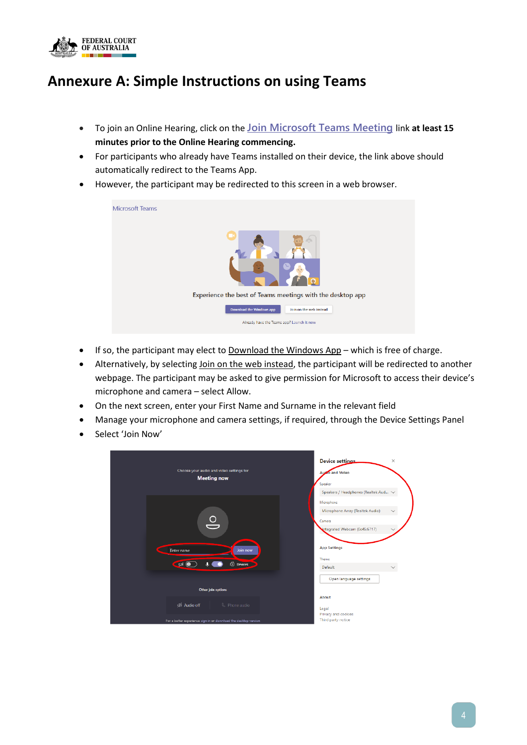

# **Annexure A: Simple Instructions on using Teams**

- To join an Online Hearing, click on the **Join Microsoft Teams Meeting** link **at least 15 minutes prior to the Online Hearing commencing.**
- For participants who already have Teams installed on their device, the link above should automatically redirect to the Teams App.
- However, the participant may be redirected to this screen in a web browser.



- If so, the participant may elect to Download the Windows App which is free of charge.
- Alternatively, by selecting Join on the web instead, the participant will be redirected to another webpage. The participant may be asked to give permission for Microsoft to access their device's microphone and camera – select Allow.
- On the next screen, enter your First Name and Surname in the relevant field
- Manage your microphone and camera settings, if required, through the Device Settings Panel
- Select 'Join Now'

| Choose your audio and video settings for<br><b>Meeting now</b>                                                                                                    | Device settings.<br>$\times$<br>Aucho and Video<br>Speaker<br>Speakers / Headphones (Realtek Aud $\smile$                 |
|-------------------------------------------------------------------------------------------------------------------------------------------------------------------|---------------------------------------------------------------------------------------------------------------------------|
| $\frac{1}{2}$<br>Enter name<br>Join now                                                                                                                           | Microphone<br>Microphone Array (Realtek Audio)<br>Camera<br>Integrated Webcam (0c45:6717)<br><b>App Settings</b><br>Theme |
| <b>Cipi</b><br><b>ED</b> Devices<br>o<br>Other join options<br>प्जी Audio off<br>& Phone audio<br>For a better experience sign in or download the desktop version | Default<br>Open language settings<br>About<br>Legal<br>Privacy and cookies<br>Third party notice                          |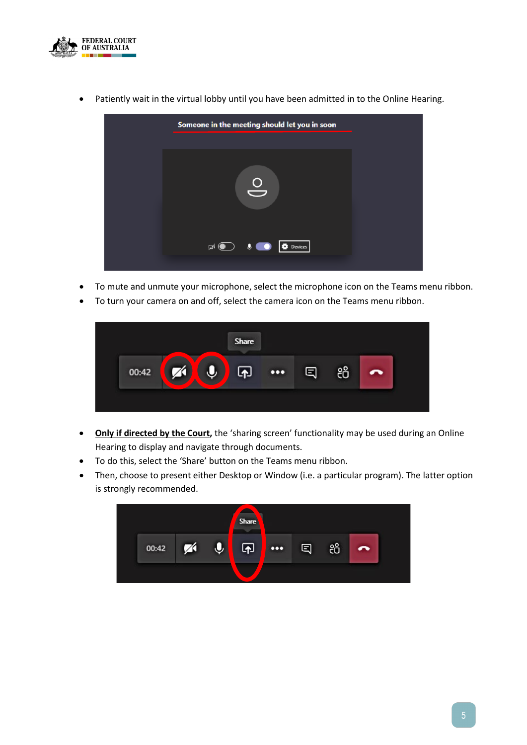

• Patiently wait in the virtual lobby until you have been admitted in to the Online Hearing.

| Someone in the meeting should let you in soon                                                                                                                                                                                                                                                                                                                                                                                                                                      |  |
|------------------------------------------------------------------------------------------------------------------------------------------------------------------------------------------------------------------------------------------------------------------------------------------------------------------------------------------------------------------------------------------------------------------------------------------------------------------------------------|--|
|                                                                                                                                                                                                                                                                                                                                                                                                                                                                                    |  |
| $\overline{\mathsf{S}}$                                                                                                                                                                                                                                                                                                                                                                                                                                                            |  |
| $\boxed{\mathcal{P}(\bigcirc\hspace{-.08cm}\bigcirc\hspace{-.08cm}\bigcirc\hspace{-.08cm}\bigcirc\hspace{-.08cm}\bigcirc\hspace{-.08cm}\bigcirc\hspace{-.08cm}\bigcirc\hspace{-.08cm}\bigcirc\hspace{-.08cm}\bigcirc\hspace{-.08cm}\bigcirc\hspace{-.08cm}\bigcirc\hspace{-.08cm}\bigcirc\hspace{-.08cm}\bigcirc\hspace{-.08cm}\bigcirc\hspace{-.08cm}\bigcirc\hspace{-.08cm}\bigcirc\hspace{-.08cm}\bigcirc\hspace{-.08cm}\bigcirc\hspace{-.08cm}\bigcirc\hspace{-.08cm}\bigcirc$ |  |
|                                                                                                                                                                                                                                                                                                                                                                                                                                                                                    |  |

- To mute and unmute your microphone, select the microphone icon on the Teams menu ribbon.
- To turn your camera on and off, select the camera icon on the Teams menu ribbon.



- **Only if directed by the Court,** the 'sharing screen' functionality may be used during an Online Hearing to display and navigate through documents.
- To do this, select the 'Share' button on the Teams menu ribbon.
- Then, choose to present either Desktop or Window (i.e. a particular program). The latter option is strongly recommended.